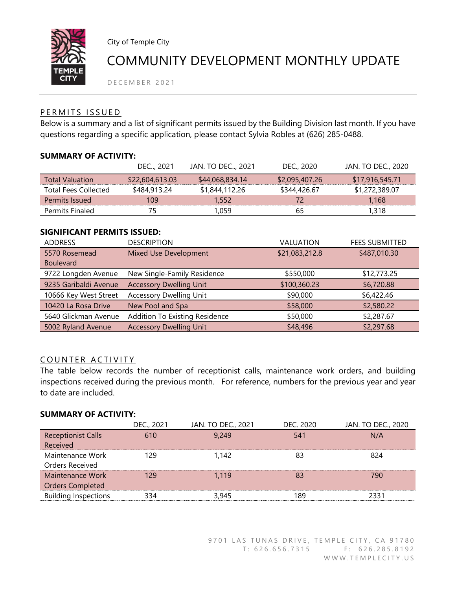

City of Temple City

# COMMUNITY DEVELOPMENT MONTHLY UPDATE

D E C E M B E R 2021

### PERMITS ISSUED

Below is a summary and a list of significant permits issued by the Building Division last month. If you have questions regarding a specific application, please contact Sylvia Robles at (626) 285-0488.

### **SUMMARY OF ACTIVITY:**

|                             | DEC 2021        | JAN. TO DEC, 2021 | DEC., 2020     | JAN. TO DEC., 2020 |
|-----------------------------|-----------------|-------------------|----------------|--------------------|
| <b>Total Valuation</b>      | \$22,604,613.03 | \$44,068,834.14   | \$2,095,407.26 | \$17,916,545.71    |
| <b>Total Fees Collected</b> | \$484,913.24    | \$1,844,112.26    | \$344,426.67   | \$1,272,389.07     |
| Permits Issued              | 109             | 1.552             | 72             | 1.168              |
| Permits Finaled             | 75              | 1.059             | 65             | 1,318              |

#### **SIGNIFICANT PERMITS ISSUED:**

| <b>ADDRESS</b>        | <b>DESCRIPTION</b>                    | VALUATION      | <b>FEES SUBMITTED</b> |
|-----------------------|---------------------------------------|----------------|-----------------------|
| 5570 Rosemead         | Mixed Use Development                 | \$21,083,212.8 | \$487,010.30          |
| <b>Boulevard</b>      |                                       |                |                       |
| 9722 Longden Avenue   | New Single-Family Residence           | \$550,000      | \$12,773.25           |
| 9235 Garibaldi Avenue | <b>Accessory Dwelling Unit</b>        | \$100,360.23   | \$6,720.88            |
| 10666 Key West Street | <b>Accessory Dwelling Unit</b>        | \$90,000       | \$6,422.46            |
| 10420 La Rosa Drive   | New Pool and Spa                      | \$58,000       | \$2,580.22            |
| 5640 Glickman Avenue  | <b>Addition To Existing Residence</b> | \$50,000       | \$2,287.67            |
| 5002 Ryland Avenue    | <b>Accessory Dwelling Unit</b>        | \$48,496       | \$2,297.68            |

### COUNTER ACTIVITY

The table below records the number of receptionist calls, maintenance work orders, and building inspections received during the previous month. For reference, numbers for the previous year and year to date are included.

# **SUMMARY OF ACTIVITY:**

|                             | DEC., 2021 | JAN. TO DEC., 2021 | DEC. 2020 | JAN. TO DEC., 2020 |
|-----------------------------|------------|--------------------|-----------|--------------------|
| <b>Receptionist Calls</b>   | 610        | 9,249              | 541       | N/A                |
| Received                    |            |                    |           |                    |
| Maintenance Work            | 129        | 1.142              | 83        | 824                |
| Orders Received             |            |                    |           |                    |
| Maintenance Work            | 129        | 1.119              | 83        | 790                |
| <b>Orders Completed</b>     |            |                    |           |                    |
| <b>Building Inspections</b> | 334        | 3,945              | 189       | 2331               |